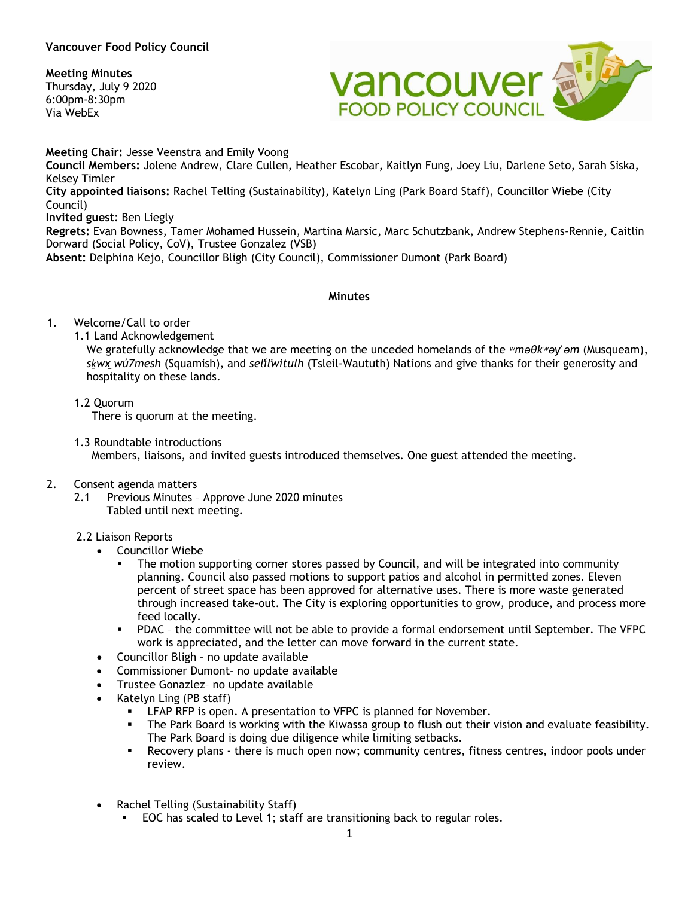# **Meeting Minutes**

Thursday, July 9 2020 6:00pm-8:30pm Via WebEx



**Meeting Chair:** Jesse Veenstra and Emily Voong **Council Members:** Jolene Andrew, Clare Cullen, Heather Escobar, Kaitlyn Fung, Joey Liu, Darlene Seto, Sarah Siska, Kelsey Timler **City appointed liaisons:** Rachel Telling (Sustainability), Katelyn Ling (Park Board Staff), Councillor Wiebe (City Council) **Invited guest**: Ben Liegly **Regrets:** Evan Bowness, Tamer Mohamed Hussein, Martina Marsic, Marc Schutzbank, Andrew Stephens-Rennie, Caitlin Dorward (Social Policy, CoV), Trustee Gonzalez (VSB) **Absent:** Delphina Kejo, Councillor Bligh (City Council), Commissioner Dumont (Park Board)

## **Minutes**

## 1. Welcome/Call to order

1.1 Land Acknowledgement

We gratefully acknowledge that we are meeting on the unceded homelands of the *ʷməθkʷəy̓ əm* (Musqueam), *sḵwx̱wú7mesh* (Squamish), and *sel̓íl̓witulh* (Tsleil-Waututh) Nations and give thanks for their generosity and hospitality on these lands.

1.2 Quorum

There is quorum at the meeting.

1.3 Roundtable introductions

Members, liaisons, and invited guests introduced themselves. One guest attended the meeting.

## 2. Consent agenda matters

2.1 Previous Minutes – Approve June 2020 minutes Tabled until next meeting.

## 2.2 Liaison Reports

- Councillor Wiebe
	- The motion supporting corner stores passed by Council, and will be integrated into community planning. Council also passed motions to support patios and alcohol in permitted zones. Eleven percent of street space has been approved for alternative uses. There is more waste generated through increased take-out. The City is exploring opportunities to grow, produce, and process more feed locally.
	- PDAC the committee will not be able to provide a formal endorsement until September. The VFPC work is appreciated, and the letter can move forward in the current state.
- Councillor Bligh no update available
- Commissioner Dumont– no update available
- Trustee Gonazlez– no update available
- Katelyn Ling (PB staff)
	- LFAP RFP is open. A presentation to VFPC is planned for November.
	- The Park Board is working with the Kiwassa group to flush out their vision and evaluate feasibility. The Park Board is doing due diligence while limiting setbacks.
	- Recovery plans there is much open now; community centres, fitness centres, indoor pools under review.
- Rachel Telling (Sustainability Staff)
	- EOC has scaled to Level 1; staff are transitioning back to regular roles.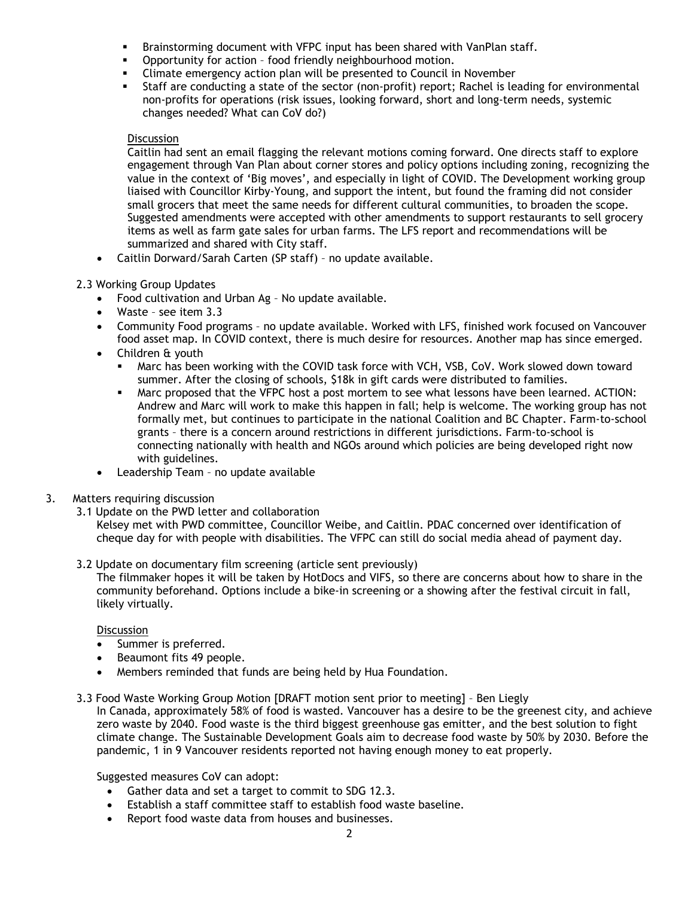- Brainstorming document with VFPC input has been shared with VanPlan staff.
- **•** Opportunity for action food friendly neighbourhood motion.
- Climate emergency action plan will be presented to Council in November
- Staff are conducting a state of the sector (non-profit) report; Rachel is leading for environmental non-profits for operations (risk issues, looking forward, short and long-term needs, systemic changes needed? What can CoV do?)

### Discussion

Caitlin had sent an email flagging the relevant motions coming forward. One directs staff to explore engagement through Van Plan about corner stores and policy options including zoning, recognizing the value in the context of 'Big moves', and especially in light of COVID. The Development working group liaised with Councillor Kirby-Young, and support the intent, but found the framing did not consider small grocers that meet the same needs for different cultural communities, to broaden the scope. Suggested amendments were accepted with other amendments to support restaurants to sell grocery items as well as farm gate sales for urban farms. The LFS report and recommendations will be summarized and shared with City staff.

• Caitlin Dorward/Sarah Carten (SP staff) – no update available.

## 2.3 Working Group Updates

- Food cultivation and Urban Ag No update available.
- Waste see item 3.3
- Community Food programs no update available. Worked with LFS, finished work focused on Vancouver food asset map. In COVID context, there is much desire for resources. Another map has since emerged.
- Children & youth
	- Marc has been working with the COVID task force with VCH, VSB, CoV. Work slowed down toward summer. After the closing of schools, \$18k in gift cards were distributed to families.
	- Marc proposed that the VFPC host a post mortem to see what lessons have been learned. ACTION: Andrew and Marc will work to make this happen in fall; help is welcome. The working group has not formally met, but continues to participate in the national Coalition and BC Chapter. Farm-to-school grants – there is a concern around restrictions in different jurisdictions. Farm-to-school is connecting nationally with health and NGOs around which policies are being developed right now with guidelines.
- Leadership Team no update available

#### 3. Matters requiring discussion

3.1 Update on the PWD letter and collaboration

Kelsey met with PWD committee, Councillor Weibe, and Caitlin. PDAC concerned over identification of cheque day for with people with disabilities. The VFPC can still do social media ahead of payment day.

3.2 Update on documentary film screening (article sent previously)

The filmmaker hopes it will be taken by HotDocs and VIFS, so there are concerns about how to share in the community beforehand. Options include a bike-in screening or a showing after the festival circuit in fall, likely virtually.

#### **Discussion**

- Summer is preferred.
- Beaumont fits 49 people.
- Members reminded that funds are being held by Hua Foundation.

## 3.3 Food Waste Working Group Motion [DRAFT motion sent prior to meeting] – Ben Liegly

In Canada, approximately 58% of food is wasted. Vancouver has a desire to be the greenest city, and achieve zero waste by 2040. Food waste is the third biggest greenhouse gas emitter, and the best solution to fight climate change. The Sustainable Development Goals aim to decrease food waste by 50% by 2030. Before the pandemic, 1 in 9 Vancouver residents reported not having enough money to eat properly.

Suggested measures CoV can adopt:

- Gather data and set a target to commit to SDG 12.3.
- Establish a staff committee staff to establish food waste baseline.
- Report food waste data from houses and businesses.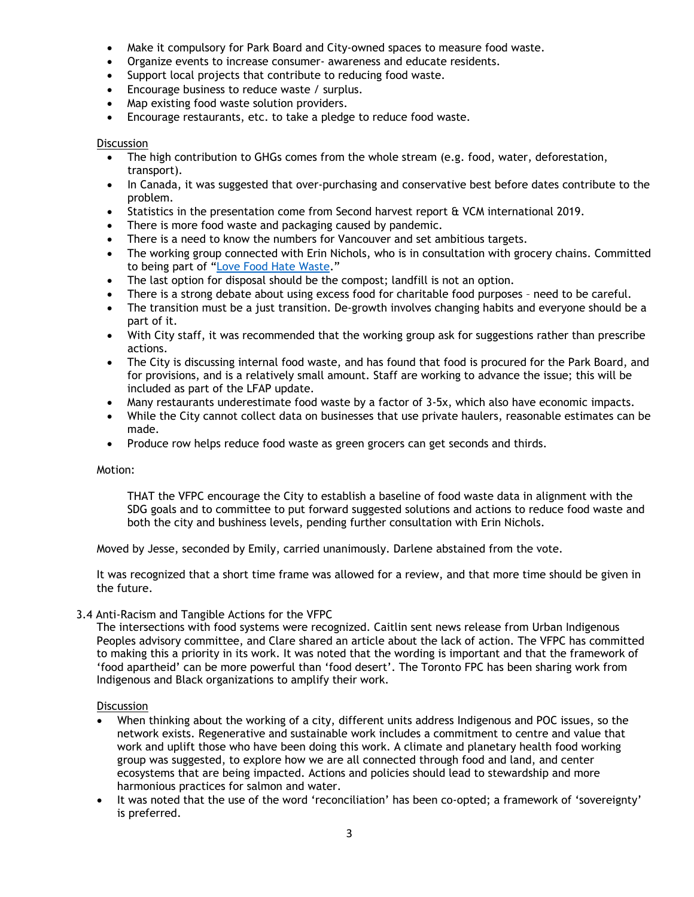- Make it compulsory for Park Board and City-owned spaces to measure food waste.
- Organize events to increase consumer- awareness and educate residents.
- Support local projects that contribute to reducing food waste.
- Encourage business to reduce waste / surplus.
- Map existing food waste solution providers.
- Encourage restaurants, etc. to take a pledge to reduce food waste.

#### **Discussion**

- The high contribution to GHGs comes from the whole stream (e.g. food, water, deforestation, transport).
- In Canada, it was suggested that over-purchasing and conservative best before dates contribute to the problem.
- Statistics in the presentation come from Second harvest report & VCM international 2019.
- There is more food waste and packaging caused by pandemic.
- There is a need to know the numbers for Vancouver and set ambitious targets.
- The working group connected with Erin Nichols, who is in consultation with grocery chains. Committed to being part of ["Love Food Hate](https://lovefoodhatewaste.ca/) Waste."
- The last option for disposal should be the compost; landfill is not an option.
- There is a strong debate about using excess food for charitable food purposes need to be careful.
- The transition must be a just transition. De-growth involves changing habits and everyone should be a part of it.
- With City staff, it was recommended that the working group ask for suggestions rather than prescribe actions.
- The City is discussing internal food waste, and has found that food is procured for the Park Board, and for provisions, and is a relatively small amount. Staff are working to advance the issue; this will be included as part of the LFAP update.
- Many restaurants underestimate food waste by a factor of 3-5x, which also have economic impacts.
- While the City cannot collect data on businesses that use private haulers, reasonable estimates can be made.
- Produce row helps reduce food waste as green grocers can get seconds and thirds.

#### Motion:

THAT the VFPC encourage the City to establish a baseline of food waste data in alignment with the SDG goals and to committee to put forward suggested solutions and actions to reduce food waste and both the city and bushiness levels, pending further consultation with Erin Nichols.

Moved by Jesse, seconded by Emily, carried unanimously. Darlene abstained from the vote.

It was recognized that a short time frame was allowed for a review, and that more time should be given in the future.

#### 3.4 Anti-Racism and Tangible Actions for the VFPC

The intersections with food systems were recognized. Caitlin sent news release from Urban Indigenous Peoples advisory committee, and Clare shared an article about the lack of action. The VFPC has committed to making this a priority in its work. It was noted that the wording is important and that the framework of 'food apartheid' can be more powerful than 'food desert'. The Toronto FPC has been sharing work from Indigenous and Black organizations to amplify their work.

#### **Discussion**

- When thinking about the working of a city, different units address Indigenous and POC issues, so the network exists. Regenerative and sustainable work includes a commitment to centre and value that work and uplift those who have been doing this work. A climate and planetary health food working group was suggested, to explore how we are all connected through food and land, and center ecosystems that are being impacted. Actions and policies should lead to stewardship and more harmonious practices for salmon and water.
- It was noted that the use of the word 'reconciliation' has been co-opted; a framework of 'sovereignty' is preferred.